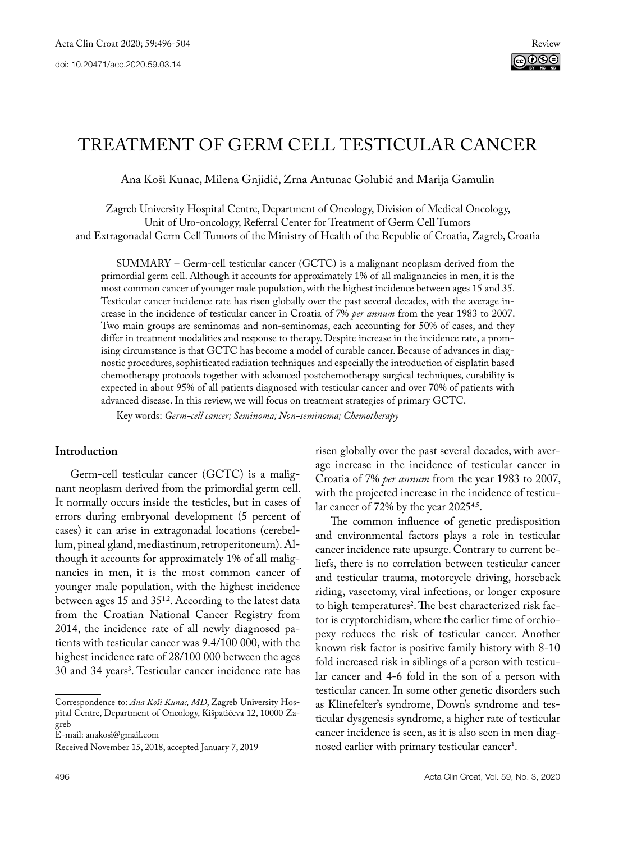# Treatment of germ cell testicular cancer

Ana Koši Kunac, Milena Gnjidić, Zrna Antunac Golubić and Marija Gamulin

Zagreb University Hospital Centre, Department of Oncology, Division of Medical Oncology, Unit of Uro-oncology, Referral Center for Treatment of Germ Cell Tumors and Extragonadal Germ Cell Tumors of the Ministry of Health of the Republic of Croatia, Zagreb, Croatia

SUMMARY – Germ-cell testicular cancer (GCTC) is a malignant neoplasm derived from the primordial germ cell. Although it accounts for approximately 1% of all malignancies in men, it is the most common cancer of younger male population, with the highest incidence between ages 15 and 35. Testicular cancer incidence rate has risen globally over the past several decades, with the average increase in the incidence of testicular cancer in Croatia of 7% *per annum* from the year 1983 to 2007. Two main groups are seminomas and non-seminomas, each accounting for 50% of cases, and they differ in treatment modalities and response to therapy. Despite increase in the incidence rate, a promising circumstance is that GCTC has become a model of curable cancer. Because of advances in diagnostic procedures, sophisticated radiation techniques and especially the introduction of cisplatin based chemotherapy protocols together with advanced postchemotherapy surgical techniques, curability is expected in about 95% of all patients diagnosed with testicular cancer and over 70% of patients with advanced disease. In this review, we will focus on treatment strategies of primary GCTC.

Key words: *Germ-cell cancer; Seminoma; Non-seminoma; Chemotherapy*

# **Introduction**

Germ-cell testicular cancer (GCTC) is a malignant neoplasm derived from the primordial germ cell. It normally occurs inside the testicles, but in cases of errors during embryonal development (5 percent of cases) it can arise in extragonadal locations (cerebellum, pineal gland, mediastinum, retroperitoneum). Although it accounts for approximately 1% of all malignancies in men, it is the most common cancer of younger male population, with the highest incidence between ages 15 and 35<sup>1,2</sup>. According to the latest data from the Croatian National Cancer Registry from 2014, the incidence rate of all newly diagnosed patients with testicular cancer was 9.4/100 000, with the highest incidence rate of 28/100 000 between the ages 30 and 34 years3 . Testicular cancer incidence rate has

Correspondence to: *Ana Koši Kunac, MD*, Zagreb University Hospital Centre, Department of Oncology, Kišpatićeva 12, 10000 Zagreb

E-mail: anakosi@gmail.com

Received November 15, 2018, accepted January 7, 2019

risen globally over the past several decades, with average increase in the incidence of testicular cancer in Croatia of 7% *per annum* from the year 1983 to 2007, with the projected increase in the incidence of testicular cancer of 72% by the year 2025<sup>4,5</sup>.

The common influence of genetic predisposition and environmental factors plays a role in testicular cancer incidence rate upsurge. Contrary to current beliefs, there is no correlation between testicular cancer and testicular trauma, motorcycle driving, horseback riding, vasectomy, viral infections, or longer exposure to high temperatures<sup>2</sup>. The best characterized risk factor is cryptorchidism, where the earlier time of orchiopexy reduces the risk of testicular cancer. Another known risk factor is positive family history with 8-10 fold increased risk in siblings of a person with testicular cancer and 4-6 fold in the son of a person with testicular cancer. In some other genetic disorders such as Klinefelter's syndrome, Down's syndrome and testicular dysgenesis syndrome, a higher rate of testicular cancer incidence is seen, as it is also seen in men diagnosed earlier with primary testicular cancer<sup>1</sup>.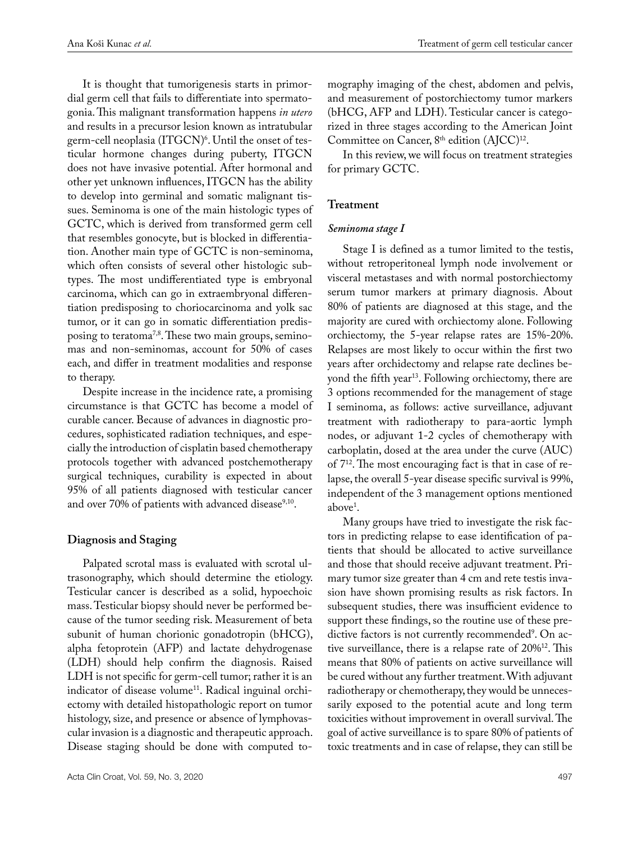It is thought that tumorigenesis starts in primordial germ cell that fails to differentiate into spermatogonia. This malignant transformation happens *in utero* and results in a precursor lesion known as intratubular germ-cell neoplasia (ITGCN)<sup>6</sup>. Until the onset of testicular hormone changes during puberty, ITGCN does not have invasive potential. After hormonal and other yet unknown influences, ITGCN has the ability to develop into germinal and somatic malignant tissues. Seminoma is one of the main histologic types of GCTC, which is derived from transformed germ cell that resembles gonocyte, but is blocked in differentiation. Another main type of GCTC is non-seminoma, which often consists of several other histologic subtypes. The most undifferentiated type is embryonal carcinoma, which can go in extraembryonal differentiation predisposing to choriocarcinoma and yolk sac tumor, or it can go in somatic differentiation predisposing to teratoma<sup>7,8</sup>. These two main groups, seminomas and non-seminomas, account for 50% of cases each, and differ in treatment modalities and response to therapy.

Despite increase in the incidence rate, a promising circumstance is that GCTC has become a model of curable cancer. Because of advances in diagnostic procedures, sophisticated radiation techniques, and especially the introduction of cisplatin based chemotherapy protocols together with advanced postchemotherapy surgical techniques, curability is expected in about 95% of all patients diagnosed with testicular cancer and over 70% of patients with advanced disease<sup>9,10</sup>.

#### **Diagnosis and Staging**

Palpated scrotal mass is evaluated with scrotal ultrasonography, which should determine the etiology. Testicular cancer is described as a solid, hypoechoic mass. Testicular biopsy should never be performed because of the tumor seeding risk. Measurement of beta subunit of human chorionic gonadotropin (bHCG), alpha fetoprotein (AFP) and lactate dehydrogenase (LDH) should help confirm the diagnosis. Raised LDH is not specific for germ-cell tumor; rather it is an indicator of disease volume<sup>11</sup>. Radical inguinal orchiectomy with detailed histopathologic report on tumor histology, size, and presence or absence of lymphovascular invasion is a diagnostic and therapeutic approach. Disease staging should be done with computed tomography imaging of the chest, abdomen and pelvis, and measurement of postorchiectomy tumor markers (bHCG, AFP and LDH). Testicular cancer is categorized in three stages according to the American Joint Committee on Cancer, 8<sup>th</sup> edition (AJCC)<sup>12</sup>.

In this review, we will focus on treatment strategies for primary GCTC.

## **Treatment**

#### *Seminoma stage I*

Stage I is defined as a tumor limited to the testis, without retroperitoneal lymph node involvement or visceral metastases and with normal postorchiectomy serum tumor markers at primary diagnosis. About 80% of patients are diagnosed at this stage, and the majority are cured with orchiectomy alone. Following orchiectomy, the 5-year relapse rates are 15%-20%. Relapses are most likely to occur within the first two years after orchidectomy and relapse rate declines beyond the fifth year<sup>13</sup>. Following orchiectomy, there are 3 options recommended for the management of stage I seminoma, as follows: active surveillance, adjuvant treatment with radiotherapy to para-aortic lymph nodes, or adjuvant 1-2 cycles of chemotherapy with carboplatin, dosed at the area under the curve (AUC) of 712. The most encouraging fact is that in case of relapse, the overall 5-year disease specific survival is 99%, independent of the 3 management options mentioned above1 .

Many groups have tried to investigate the risk factors in predicting relapse to ease identification of patients that should be allocated to active surveillance and those that should receive adjuvant treatment. Primary tumor size greater than 4 cm and rete testis invasion have shown promising results as risk factors. In subsequent studies, there was insufficient evidence to support these findings, so the routine use of these predictive factors is not currently recommended<sup>9</sup>. On active surveillance, there is a relapse rate of 20%12. This means that 80% of patients on active surveillance will be cured without any further treatment. With adjuvant radiotherapy or chemotherapy, they would be unnecessarily exposed to the potential acute and long term toxicities without improvement in overall survival. The goal of active surveillance is to spare 80% of patients of toxic treatments and in case of relapse, they can still be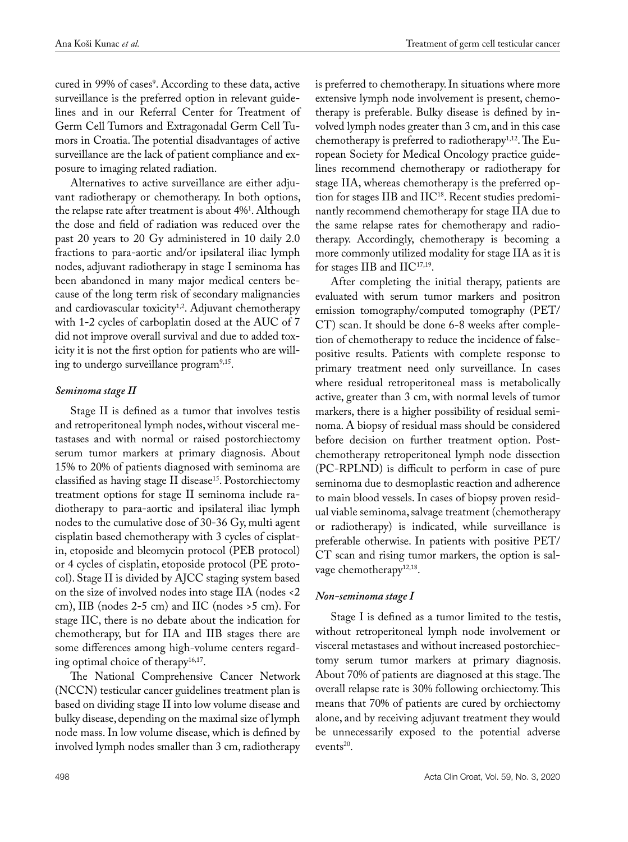cured in 99% of cases<sup>9</sup>. According to these data, active surveillance is the preferred option in relevant guidelines and in our Referral Center for Treatment of Germ Cell Tumors and Extragonadal Germ Cell Tumors in Croatia. The potential disadvantages of active surveillance are the lack of patient compliance and exposure to imaging related radiation.

Alternatives to active surveillance are either adjuvant radiotherapy or chemotherapy. In both options, the relapse rate after treatment is about 4%1 . Although the dose and field of radiation was reduced over the past 20 years to 20 Gy administered in 10 daily 2.0 fractions to para-aortic and/or ipsilateral iliac lymph nodes, adjuvant radiotherapy in stage I seminoma has been abandoned in many major medical centers because of the long term risk of secondary malignancies and cardiovascular toxicity<sup>1,2</sup>. Adjuvant chemotherapy with 1-2 cycles of carboplatin dosed at the AUC of 7 did not improve overall survival and due to added toxicity it is not the first option for patients who are willing to undergo surveillance program9,15.

## *Seminoma stage II*

Stage II is defined as a tumor that involves testis and retroperitoneal lymph nodes, without visceral metastases and with normal or raised postorchiectomy serum tumor markers at primary diagnosis. About 15% to 20% of patients diagnosed with seminoma are classified as having stage II disease<sup>15</sup>. Postorchiectomy treatment options for stage II seminoma include radiotherapy to para-aortic and ipsilateral iliac lymph nodes to the cumulative dose of 30-36 Gy, multi agent cisplatin based chemotherapy with 3 cycles of cisplatin, etoposide and bleomycin protocol (PEB protocol) or 4 cycles of cisplatin, etoposide protocol (PE protocol). Stage II is divided by AJCC staging system based on the size of involved nodes into stage IIA (nodes <2 cm), IIB (nodes 2-5 cm) and IIC (nodes >5 cm). For stage IIC, there is no debate about the indication for chemotherapy, but for IIA and IIB stages there are some differences among high-volume centers regarding optimal choice of therapy<sup>16,17</sup>.

The National Comprehensive Cancer Network (NCCN) testicular cancer guidelines treatment plan is based on dividing stage II into low volume disease and bulky disease, depending on the maximal size of lymph node mass. In low volume disease, which is defined by involved lymph nodes smaller than 3 cm, radiotherapy is preferred to chemotherapy. In situations where more extensive lymph node involvement is present, chemotherapy is preferable. Bulky disease is defined by involved lymph nodes greater than 3 cm, and in this case chemotherapy is preferred to radiotherapy<sup>1,12</sup>. The European Society for Medical Oncology practice guidelines recommend chemotherapy or radiotherapy for stage IIA, whereas chemotherapy is the preferred option for stages IIB and IIC<sup>18</sup>. Recent studies predominantly recommend chemotherapy for stage IIA due to the same relapse rates for chemotherapy and radiotherapy. Accordingly, chemotherapy is becoming a more commonly utilized modality for stage IIA as it is for stages IIB and  $\text{HC}^{17,19}$ .

After completing the initial therapy, patients are evaluated with serum tumor markers and positron emission tomography/computed tomography (PET/ CT) scan. It should be done 6-8 weeks after completion of chemotherapy to reduce the incidence of falsepositive results. Patients with complete response to primary treatment need only surveillance. In cases where residual retroperitoneal mass is metabolically active, greater than 3 cm, with normal levels of tumor markers, there is a higher possibility of residual seminoma. A biopsy of residual mass should be considered before decision on further treatment option. Postchemotherapy retroperitoneal lymph node dissection (PC-RPLND) is difficult to perform in case of pure seminoma due to desmoplastic reaction and adherence to main blood vessels. In cases of biopsy proven residual viable seminoma, salvage treatment (chemotherapy or radiotherapy) is indicated, while surveillance is preferable otherwise. In patients with positive PET/ CT scan and rising tumor markers, the option is salvage chemotherapy<sup>12,18</sup>.

## *Non-seminoma stage I*

Stage I is defined as a tumor limited to the testis, without retroperitoneal lymph node involvement or visceral metastases and without increased postorchiectomy serum tumor markers at primary diagnosis. About 70% of patients are diagnosed at this stage. The overall relapse rate is 30% following orchiectomy. This means that 70% of patients are cured by orchiectomy alone, and by receiving adjuvant treatment they would be unnecessarily exposed to the potential adverse events<sup>20</sup>.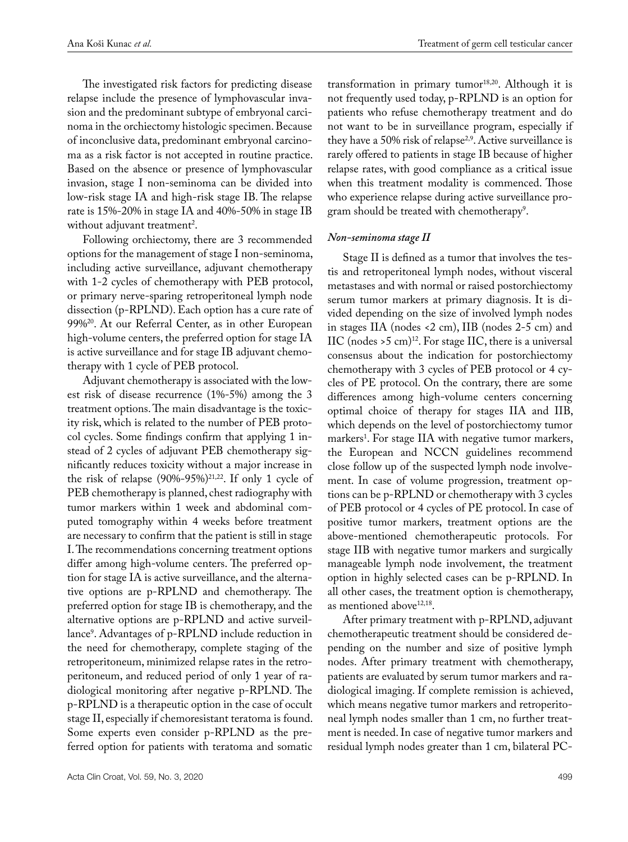The investigated risk factors for predicting disease relapse include the presence of lymphovascular invasion and the predominant subtype of embryonal carcinoma in the orchiectomy histologic specimen. Because of inconclusive data, predominant embryonal carcinoma as a risk factor is not accepted in routine practice. Based on the absence or presence of lymphovascular invasion, stage I non-seminoma can be divided into low-risk stage IA and high-risk stage IB. The relapse rate is 15%-20% in stage IA and 40%-50% in stage IB without adjuvant treatment<sup>2</sup>.

Following orchiectomy, there are 3 recommended options for the management of stage I non-seminoma, including active surveillance, adjuvant chemotherapy with 1-2 cycles of chemotherapy with PEB protocol, or primary nerve-sparing retroperitoneal lymph node dissection (p-RPLND). Each option has a cure rate of 99%20. At our Referral Center, as in other European high-volume centers, the preferred option for stage IA is active surveillance and for stage IB adjuvant chemotherapy with 1 cycle of PEB protocol.

Adjuvant chemotherapy is associated with the lowest risk of disease recurrence (1%-5%) among the 3 treatment options. The main disadvantage is the toxicity risk, which is related to the number of PEB protocol cycles. Some findings confirm that applying 1 instead of 2 cycles of adjuvant PEB chemotherapy significantly reduces toxicity without a major increase in the risk of relapse  $(90\% - 95\%)^{21,22}$ . If only 1 cycle of PEB chemotherapy is planned, chest radiography with tumor markers within 1 week and abdominal computed tomography within 4 weeks before treatment are necessary to confirm that the patient is still in stage I. The recommendations concerning treatment options differ among high-volume centers. The preferred option for stage IA is active surveillance, and the alternative options are p-RPLND and chemotherapy. The preferred option for stage IB is chemotherapy, and the alternative options are p-RPLND and active surveillance9 . Advantages of p-RPLND include reduction in the need for chemotherapy, complete staging of the retroperitoneum, minimized relapse rates in the retroperitoneum, and reduced period of only 1 year of radiological monitoring after negative p-RPLND. The p-RPLND is a therapeutic option in the case of occult stage II, especially if chemoresistant teratoma is found. Some experts even consider p-RPLND as the preferred option for patients with teratoma and somatic

transformation in primary tumor<sup>18,20</sup>. Although it is not frequently used today, p-RPLND is an option for patients who refuse chemotherapy treatment and do not want to be in surveillance program, especially if they have a 50% risk of relapse<sup>2,9</sup>. Active surveillance is rarely offered to patients in stage IB because of higher relapse rates, with good compliance as a critical issue when this treatment modality is commenced. Those who experience relapse during active surveillance program should be treated with chemotherapy<sup>9</sup>.

#### *Non-seminoma stage II*

Stage II is defined as a tumor that involves the testis and retroperitoneal lymph nodes, without visceral metastases and with normal or raised postorchiectomy serum tumor markers at primary diagnosis. It is divided depending on the size of involved lymph nodes in stages IIA (nodes <2 cm), IIB (nodes 2-5 cm) and IIC (nodes  $>5$  cm)<sup>12</sup>. For stage IIC, there is a universal consensus about the indication for postorchiectomy chemotherapy with 3 cycles of PEB protocol or 4 cycles of PE protocol. On the contrary, there are some differences among high-volume centers concerning optimal choice of therapy for stages IIA and IIB, which depends on the level of postorchiectomy tumor markers<sup>1</sup>. For stage IIA with negative tumor markers, the European and NCCN guidelines recommend close follow up of the suspected lymph node involvement. In case of volume progression, treatment options can be p-RPLND or chemotherapy with 3 cycles of PEB protocol or 4 cycles of PE protocol. In case of positive tumor markers, treatment options are the above-mentioned chemotherapeutic protocols. For stage IIB with negative tumor markers and surgically manageable lymph node involvement, the treatment option in highly selected cases can be p-RPLND. In all other cases, the treatment option is chemotherapy, as mentioned above<sup>12,18</sup>.

After primary treatment with p-RPLND, adjuvant chemotherapeutic treatment should be considered depending on the number and size of positive lymph nodes. After primary treatment with chemotherapy, patients are evaluated by serum tumor markers and radiological imaging. If complete remission is achieved, which means negative tumor markers and retroperitoneal lymph nodes smaller than 1 cm, no further treatment is needed. In case of negative tumor markers and residual lymph nodes greater than 1 cm, bilateral PC-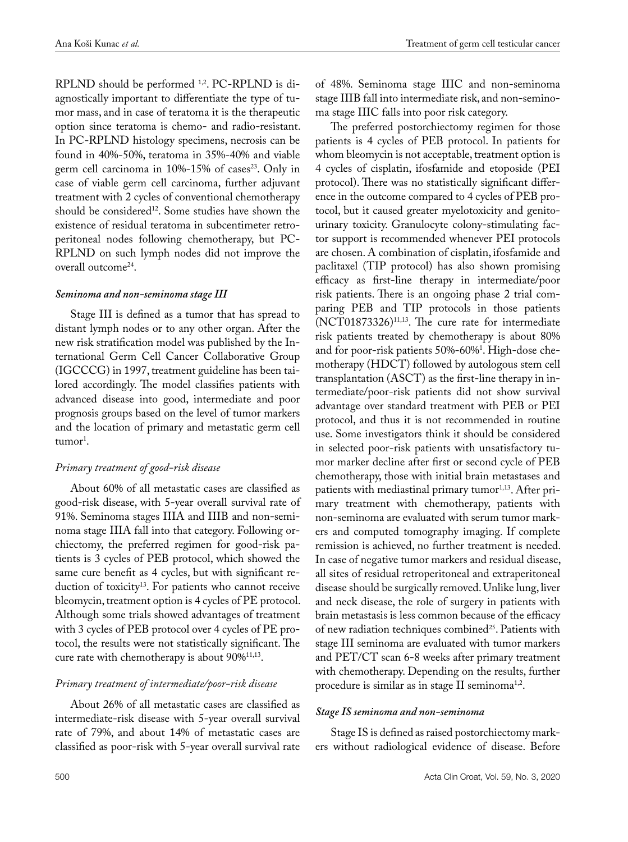RPLND should be performed 1,2. PC-RPLND is diagnostically important to differentiate the type of tumor mass, and in case of teratoma it is the therapeutic option since teratoma is chemo- and radio-resistant. In PC-RPLND histology specimens, necrosis can be found in 40%-50%, teratoma in 35%-40% and viable germ cell carcinoma in  $10\% - 15\%$  of cases<sup>23</sup>. Only in case of viable germ cell carcinoma, further adjuvant treatment with 2 cycles of conventional chemotherapy should be considered<sup>12</sup>. Some studies have shown the existence of residual teratoma in subcentimeter retroperitoneal nodes following chemotherapy, but PC-RPLND on such lymph nodes did not improve the overall outcome24.

#### *Seminoma and non-seminoma stage III*

Stage III is defined as a tumor that has spread to distant lymph nodes or to any other organ. After the new risk stratification model was published by the International Germ Cell Cancer Collaborative Group (IGCCCG) in 1997, treatment guideline has been tailored accordingly. The model classifies patients with advanced disease into good, intermediate and poor prognosis groups based on the level of tumor markers and the location of primary and metastatic germ cell tumor<sup>1</sup>.

## *Primary treatment of good-risk disease*

About 60% of all metastatic cases are classified as good-risk disease, with 5-year overall survival rate of 91%. Seminoma stages IIIA and IIIB and non-seminoma stage IIIA fall into that category. Following orchiectomy, the preferred regimen for good-risk patients is 3 cycles of PEB protocol, which showed the same cure benefit as 4 cycles, but with significant reduction of toxicity<sup>13</sup>. For patients who cannot receive bleomycin, treatment option is 4 cycles of PE protocol. Although some trials showed advantages of treatment with 3 cycles of PEB protocol over 4 cycles of PE protocol, the results were not statistically significant. The cure rate with chemotherapy is about 90%<sup>11,13</sup>.

# *Primary treatment of intermediate/poor-risk disease*

About 26% of all metastatic cases are classified as intermediate-risk disease with 5-year overall survival rate of 79%, and about 14% of metastatic cases are classified as poor-risk with 5-year overall survival rate

of 48%. Seminoma stage IIIC and non-seminoma stage IIIB fall into intermediate risk, and non-seminoma stage IIIC falls into poor risk category.

The preferred postorchiectomy regimen for those patients is 4 cycles of PEB protocol. In patients for whom bleomycin is not acceptable, treatment option is 4 cycles of cisplatin, ifosfamide and etoposide (PEI protocol). There was no statistically significant difference in the outcome compared to 4 cycles of PEB protocol, but it caused greater myelotoxicity and genitourinary toxicity. Granulocyte colony-stimulating factor support is recommended whenever PEI protocols are chosen. A combination of cisplatin, ifosfamide and paclitaxel (TIP protocol) has also shown promising efficacy as first-line therapy in intermediate/poor risk patients. There is an ongoing phase 2 trial comparing PEB and TIP protocols in those patients  $(NCT01873326)^{11,13}$ . The cure rate for intermediate risk patients treated by chemotherapy is about 80% and for poor-risk patients 50%-60%1 . High-dose chemotherapy (HDCT) followed by autologous stem cell transplantation (ASCT) as the first-line therapy in intermediate/poor-risk patients did not show survival advantage over standard treatment with PEB or PEI protocol, and thus it is not recommended in routine use. Some investigators think it should be considered in selected poor-risk patients with unsatisfactory tumor marker decline after first or second cycle of PEB chemotherapy, those with initial brain metastases and patients with mediastinal primary tumor<sup>1,13</sup>. After primary treatment with chemotherapy, patients with non-seminoma are evaluated with serum tumor markers and computed tomography imaging. If complete remission is achieved, no further treatment is needed. In case of negative tumor markers and residual disease, all sites of residual retroperitoneal and extraperitoneal disease should be surgically removed. Unlike lung, liver and neck disease, the role of surgery in patients with brain metastasis is less common because of the efficacy of new radiation techniques combined<sup>25</sup>. Patients with stage III seminoma are evaluated with tumor markers and PET/CT scan 6-8 weeks after primary treatment with chemotherapy. Depending on the results, further procedure is similar as in stage II seminoma<sup>1,2</sup>.

## *Stage IS seminoma and non-seminoma*

Stage IS is defined as raised postorchiectomy markers without radiological evidence of disease. Before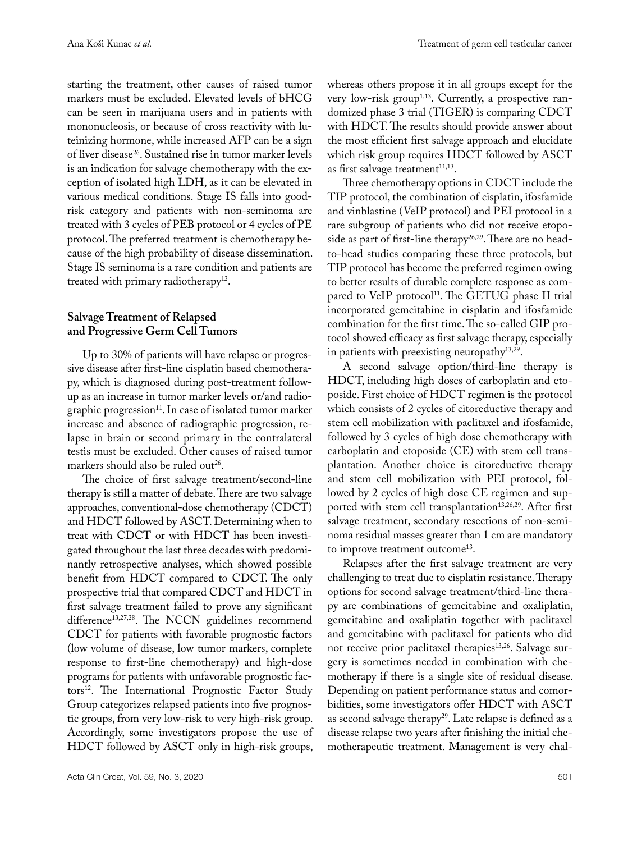starting the treatment, other causes of raised tumor markers must be excluded. Elevated levels of bHCG can be seen in marijuana users and in patients with mononucleosis, or because of cross reactivity with luteinizing hormone, while increased AFP can be a sign of liver disease<sup>26</sup>. Sustained rise in tumor marker levels is an indication for salvage chemotherapy with the exception of isolated high LDH, as it can be elevated in various medical conditions. Stage IS falls into goodrisk category and patients with non-seminoma are treated with 3 cycles of PEB protocol or 4 cycles of PE protocol. The preferred treatment is chemotherapy because of the high probability of disease dissemination. Stage IS seminoma is a rare condition and patients are treated with primary radiotherapy<sup>12</sup>.

# **Salvage Treatment of Relapsed and Progressive Germ Cell Tumors**

Up to 30% of patients will have relapse or progressive disease after first-line cisplatin based chemotherapy, which is diagnosed during post-treatment followup as an increase in tumor marker levels or/and radiographic progression<sup>11</sup>. In case of isolated tumor marker increase and absence of radiographic progression, relapse in brain or second primary in the contralateral testis must be excluded. Other causes of raised tumor markers should also be ruled out<sup>26</sup>.

The choice of first salvage treatment/second-line therapy is still a matter of debate. There are two salvage approaches, conventional-dose chemotherapy (CDCT) and HDCT followed by ASCT. Determining when to treat with CDCT or with HDCT has been investigated throughout the last three decades with predominantly retrospective analyses, which showed possible benefit from HDCT compared to CDCT. The only prospective trial that compared CDCT and HDCT in first salvage treatment failed to prove any significant difference<sup>13,27,28</sup>. The NCCN guidelines recommend CDCT for patients with favorable prognostic factors (low volume of disease, low tumor markers, complete response to first-line chemotherapy) and high-dose programs for patients with unfavorable prognostic factors<sup>12</sup>. The International Prognostic Factor Study Group categorizes relapsed patients into five prognostic groups, from very low-risk to very high-risk group. Accordingly, some investigators propose the use of HDCT followed by ASCT only in high-risk groups,

whereas others propose it in all groups except for the very low-risk group<sup>1,13</sup>. Currently, a prospective randomized phase 3 trial (TIGER) is comparing CDCT with HDCT. The results should provide answer about the most efficient first salvage approach and elucidate which risk group requires HDCT followed by ASCT as first salvage treatment $11,13$ .

Three chemotherapy options in CDCT include the TIP protocol, the combination of cisplatin, ifosfamide and vinblastine (VeIP protocol) and PEI protocol in a rare subgroup of patients who did not receive etoposide as part of first-line therapy<sup>26,29</sup>. There are no headto-head studies comparing these three protocols, but TIP protocol has become the preferred regimen owing to better results of durable complete response as compared to VeIP protocol<sup>11</sup>. The GETUG phase II trial incorporated gemcitabine in cisplatin and ifosfamide combination for the first time. The so-called GIP protocol showed efficacy as first salvage therapy, especially in patients with preexisting neuropathy<sup>13,29</sup>.

A second salvage option/third-line therapy is HDCT, including high doses of carboplatin and etoposide. First choice of HDCT regimen is the protocol which consists of 2 cycles of citoreductive therapy and stem cell mobilization with paclitaxel and ifosfamide, followed by 3 cycles of high dose chemotherapy with carboplatin and etoposide (CE) with stem cell transplantation. Another choice is citoreductive therapy and stem cell mobilization with PEI protocol, followed by 2 cycles of high dose CE regimen and supported with stem cell transplantation<sup>13,26,29</sup>. After first salvage treatment, secondary resections of non-seminoma residual masses greater than 1 cm are mandatory to improve treatment outcome<sup>13</sup>.

Relapses after the first salvage treatment are very challenging to treat due to cisplatin resistance. Therapy options for second salvage treatment/third-line therapy are combinations of gemcitabine and oxaliplatin, gemcitabine and oxaliplatin together with paclitaxel and gemcitabine with paclitaxel for patients who did not receive prior paclitaxel therapies<sup>13,26</sup>. Salvage surgery is sometimes needed in combination with chemotherapy if there is a single site of residual disease. Depending on patient performance status and comorbidities, some investigators offer HDCT with ASCT as second salvage therapy<sup>29</sup>. Late relapse is defined as a disease relapse two years after finishing the initial chemotherapeutic treatment. Management is very chal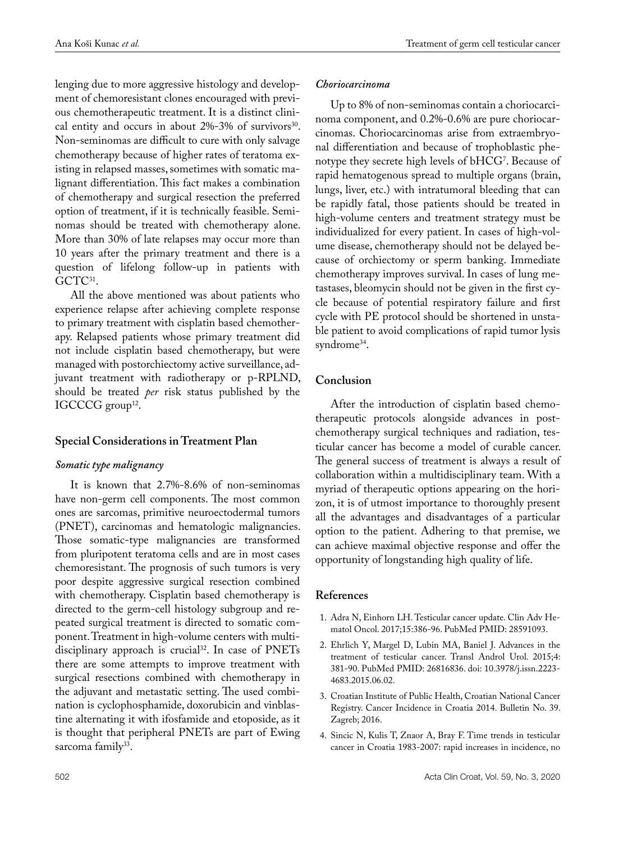lenging due to more aggressive histology and development of chemoresistant clones encouraged with previous chemotherapeutic treatment. It is a distinct clinical entity and occurs in about  $2\%$ -3% of survivors<sup>30</sup>. Non-seminomas are difficult to cure with only salvage chemotherapy because of higher rates of teratoma existing in relapsed masses, sometimes with somatic malignant differentiation. This fact makes a combination of chemotherapy and surgical resection the preferred option of treatment, if it is technically feasible. Seminomas should be treated with chemotherapy alone. More than 30% of late relapses may occur more than 10 years after the primary treatment and there is a question of lifelong follow-up in patients with GCTC<sup>31</sup>.

All the above mentioned was about patients who experience relapse after achieving complete response to primary treatment with cisplatin based chemotherapy. Relapsed patients whose primary treatment did not include cisplatin based chemotherapy, but were managed with postorchiectomy active surveillance, adjuvant treatment with radiotherapy or p-RPLND, should be treated *per* risk status published by the IGCCCG group<sup>12</sup>.

# **Special Considerations in Treatment Plan**

## *Somatic type malignancy*

It is known that 2.7%-8.6% of non-seminomas have non-germ cell components. The most common ones are sarcomas, primitive neuroectodermal tumors (PNET), carcinomas and hematologic malignancies. Those somatic-type malignancies are transformed from pluripotent teratoma cells and are in most cases chemoresistant. The prognosis of such tumors is very poor despite aggressive surgical resection combined with chemotherapy. Cisplatin based chemotherapy is directed to the germ-cell histology subgroup and repeated surgical treatment is directed to somatic component. Treatment in high-volume centers with multidisciplinary approach is crucial<sup>32</sup>. In case of PNETs there are some attempts to improve treatment with surgical resections combined with chemotherapy in the adjuvant and metastatic setting. The used combination is cyclophosphamide, doxorubicin and vinblastine alternating it with ifosfamide and etoposide, as it is thought that peripheral PNETs are part of Ewing sarcoma family<sup>33</sup>.

## *Choriocarcinoma*

Up to 8% of non-seminomas contain a choriocarcinoma component, and 0.2%-0.6% are pure choriocarcinomas. Choriocarcinomas arise from extraembryonal differentiation and because of trophoblastic phenotype they secrete high levels of bHCG<sup>7</sup>. Because of rapid hematogenous spread to multiple organs (brain, lungs, liver, etc.) with intratumoral bleeding that can be rapidly fatal, those patients should be treated in high-volume centers and treatment strategy must be individualized for every patient. In cases of high-volume disease, chemotherapy should not be delayed because of orchiectomy or sperm banking. Immediate chemotherapy improves survival. In cases of lung metastases, bleomycin should not be given in the first cycle because of potential respiratory failure and first cycle with PE protocol should be shortened in unstable patient to avoid complications of rapid tumor lysis syndrome<sup>34</sup>.

# **Conclusion**

After the introduction of cisplatin based chemotherapeutic protocols alongside advances in postchemotherapy surgical techniques and radiation, testicular cancer has become a model of curable cancer. The general success of treatment is always a result of collaboration within a multidisciplinary team. With a myriad of therapeutic options appearing on the horizon, it is of utmost importance to thoroughly present all the advantages and disadvantages of a particular option to the patient. Adhering to that premise, we can achieve maximal objective response and offer the opportunity of longstanding high quality of life.

# **References**

- 1. Adra N, Einhorn LH. Testicular cancer update. Clin Adv Hematol Oncol. 2017;15:386-96. PubMed PMID: 28591093.
- 2. Ehrlich Y, Margel D, Lubin MA, Baniel J. Advances in the treatment of testicular cancer. Transl Androl Urol. 2015;4: 381-90. PubMed PMID: 26816836. doi: 10.3978/j.issn.2223- 4683.2015.06.02.
- 3. Croatian Institute of Public Health, Croatian National Cancer Registry. Cancer Incidence in Croatia 2014. Bulletin No. 39. Zagreb; 2016.
- 4. Sincic N, Kulis T, Znaor A, Bray F. Time trends in testicular cancer in Croatia 1983-2007: rapid increases in incidence, no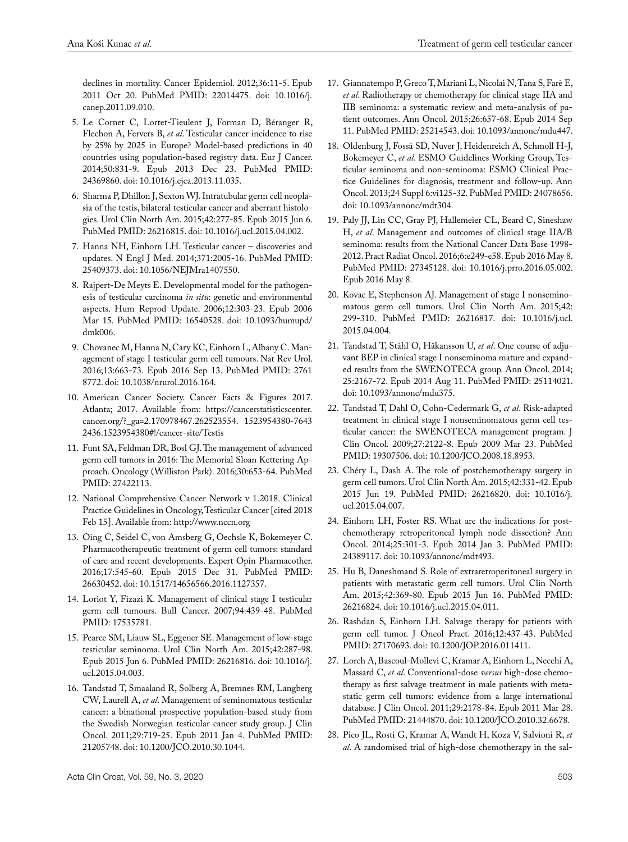declines in mortality. Cancer Epidemiol. 2012;36:11-5. Epub 2011 Oct 20. PubMed PMID: 22014475. doi: 10.1016/j. canep.2011.09.010.

- 5. Le Cornet C, Lortet-Tieulent J, Forman D, Béranger R, Flechon A, Fervers B, *et al*. Testicular cancer incidence to rise by 25% by 2025 in Europe? Model-based predictions in 40 countries using population-based registry data. Eur J Cancer. 2014;50:831-9. Epub 2013 Dec 23. PubMed PMID: 24369860. doi: 10.1016/j.ejca.2013.11.035.
- 6. Sharma P, Dhillon J, Sexton WJ. Intratubular germ cell neoplasia of the testis, bilateral testicular cancer and aberrant histologies. Urol Clin North Am. 2015;42:277-85. Epub 2015 Jun 6. PubMed PMID: 26216815. doi: 10.1016/j.ucl.2015.04.002.
- 7. Hanna NH, Einhorn LH. Testicular cancer discoveries and updates. N Engl J Med. 2014;371:2005-16. PubMed PMID: 25409373. doi: 10.1056/NEJMra1407550.
- 8. Rajpert-De Meyts E. Developmental model for the pathogenesis of testicular carcinoma *in situ*: genetic and environmental aspects. Hum Reprod Update. 2006;12:303-23. Epub 2006 Mar 15. PubMed PMID: 16540528. doi: 10.1093/humupd/ dmk006.
- 9. Chovanec M, Hanna N, Cary KC, Einhorn L, Albany C. [Man](https://www.ncbi.nlm.nih.gov/pubmed/27618772)[agement of stage I testicular germ cell tumours](https://www.ncbi.nlm.nih.gov/pubmed/27618772). Nat Rev Urol. 2016;13:663-73. Epub 2016 Sep 13. PubMed PMID: 2761 8772. doi: 10.1038/nrurol.2016.164.
- 10. American Cancer Society. Cancer Facts & Figures 2017. Atlanta; 2017. Available from: https://cancerstatisticscenter. cancer.org/?\_ga=2.170978467.262523554. 1523954380-7643 2436.1523954380#!/cancer-site/Testis
- 11. Funt SA, Feldman DR, Bosl GJ. The management of advanced germ cell tumors in 2016: The Memorial Sloan Kettering Approach. Oncology (Williston Park). 2016;30:653-64. PubMed PMID: 27422113.
- 12. National Comprehensive Cancer Network v 1.2018. Clinical Practice Guidelines in Oncology, Testicular Cancer [cited 2018 Feb 15]. Available from: <http://www.nccn.org>
- 13. Oing C, Seidel C, von Amsberg G, Oechsle K, Bokemeyer C. Pharmacotherapeutic treatment of germ cell tumors: standard of care and recent developments. Expert Opin Pharmacother. 2016;17:545-60. Epub 2015 Dec 31. PubMed PMID: 26630452. doi: 10.1517/14656566.2016.1127357.
- 14. Loriot Y, Fizazi K. Management of clinical stage I testicular germ cell tumours. Bull Cancer. 2007;94:439-48. PubMed PMID: 17535781.
- 15. Pearce SM, Liauw SL, Eggener SE. Management of low-stage testicular seminoma. Urol Clin North Am. 2015;42:287-98. Epub 2015 Jun 6. PubMed PMID: 26216816. doi: 10.1016/j. ucl.2015.04.003.
- 16. Tandstad T, Smaaland R, Solberg A, Bremnes RM, Langberg CW, Laurell A, *et al*. Management of seminomatous testicular cancer: a binational prospective population-based study from the Swedish Norwegian testicular cancer study group. J Clin Oncol. 2011;29:719-25. Epub 2011 Jan 4. PubMed PMID: 21205748. doi: 10.1200/JCO.2010.30.1044.
- 17. Giannatempo P, Greco T, Mariani L, Nicolai N, Tana S, Farè E, *et al*. Radiotherapy or chemotherapy for clinical stage IIA and IIB seminoma: a systematic review and meta-analysis of patient outcomes. Ann Oncol. 2015;26:657-68. Epub 2014 Sep 11. PubMed PMID: 25214543. doi: 10.1093/annonc/mdu447.
- 18. Oldenburg J, Fosså SD, Nuver J, Heidenreich A, Schmoll H-J, Bokemeyer C, *et al*. ESMO Guidelines Working Group, Testicular seminoma and non-seminoma: ESMO Clinical Practice Guidelines for diagnosis, treatment and follow-up. Ann Oncol. 2013;24 Suppl 6:vi125-32. PubMed PMID: 24078656. doi: 10.1093/annonc/mdt304.
- 19. Paly JJ, Lin CC, Gray PJ, Hallemeier CL, Beard C, Sineshaw H, *et al*. Management and outcomes of clinical stage IIA/B seminoma: results from the National Cancer Data Base 1998- 2012. Pract Radiat Oncol. 2016;6:e249-e58. Epub 2016 May 8. PubMed PMID: 27345128. doi: 10.1016/j.prro.2016.05.002. Epub 2016 May 8.
- 20. Kovac E, Stephenson AJ. Management of stage I nonseminomatous germ cell tumors. Urol Clin North Am. 2015;42: 299-310. PubMed PMID: 26216817. doi: 10.1016/j.ucl. 2015.04.004.
- 21. Tandstad T, Ståhl O, Håkansson U, *et al*. One course of adjuvant BEP in clinical stage I nonseminoma mature and expanded results from the SWENOTECA group. Ann Oncol. 2014; 25:2167-72. Epub 2014 Aug 11. PubMed PMID: 25114021. doi: 10.1093/annonc/mdu375.
- 22. Tandstad T, Dahl O, Cohn-Cedermark G, *et al*. Risk-adapted treatment in clinical stage I nonseminomatous germ cell testicular cancer: the SWENOTECA management program. J Clin Oncol. 2009;27:2122-8. Epub 2009 Mar 23. PubMed PMID: 19307506. doi: 10.1200/JCO.2008.18.8953.
- 23. Chéry L, Dash A. The role of postchemotherapy surgery in germ cell tumors. Urol Clin North Am. 2015;42:331-42. Epub 2015 Jun 19. PubMed PMID: 26216820. doi: 10.1016/j. ucl.2015.04.007.
- 24. Einhorn LH, Foster RS. What are the indications for postchemotherapy retroperitoneal lymph node dissection? Ann Oncol. 2014;25:301-3. Epub 2014 Jan 3. PubMed PMID: 24389117. doi: 10.1093/annonc/mdt493.
- 25. Hu B, Daneshmand S. Role of extraretroperitoneal surgery in patients with metastatic germ cell tumors. Urol Clin North Am. 2015;42:369-80. Epub 2015 Jun 16. PubMed PMID: 26216824. doi: 10.1016/j.ucl.2015.04.011.
- 26. Rashdan S, Einhorn LH. Salvage therapy for patients with germ cell tumor. J Oncol Pract. 2016;12:437-43. PubMed PMID: 27170693. doi: 10.1200/JOP.2016.011411.
- 27. Lorch A, Bascoul-Mollevi C, Kramar A, Einhorn L, Necchi A, Massard C, *et al*. Conventional-dose *versus* high-dose chemotherapy as first salvage treatment in male patients with metastatic germ cell tumors: evidence from a large international database. J Clin Oncol. 2011;29:2178-84. Epub 2011 Mar 28. PubMed PMID: 21444870. doi: 10.1200/JCO.2010.32.6678.
- 28. Pico JL, Rosti G, Kramar A, Wandt H, Koza V, Salvioni R, *et al*. A randomised trial of high-dose chemotherapy in the sal-